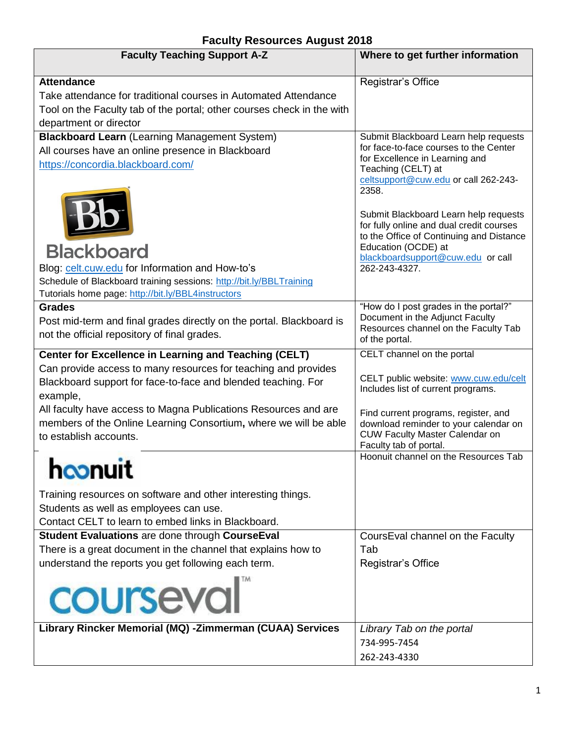| <b>Faculty Teaching Support A-Z</b>                                    | Where to get further information                                         |
|------------------------------------------------------------------------|--------------------------------------------------------------------------|
| <b>Attendance</b>                                                      | Registrar's Office                                                       |
| Take attendance for traditional courses in Automated Attendance        |                                                                          |
| Tool on the Faculty tab of the portal; other courses check in the with |                                                                          |
| department or director                                                 |                                                                          |
| <b>Blackboard Learn (Learning Management System)</b>                   | Submit Blackboard Learn help requests                                    |
| All courses have an online presence in Blackboard                      | for face-to-face courses to the Center<br>for Excellence in Learning and |
| https://concordia.blackboard.com/                                      | Teaching (CELT) at                                                       |
|                                                                        | celtsupport@cuw.edu or call 262-243-                                     |
|                                                                        | 2358.                                                                    |
|                                                                        | Submit Blackboard Learn help requests                                    |
|                                                                        | for fully online and dual credit courses                                 |
|                                                                        | to the Office of Continuing and Distance                                 |
| <b>Blackboard</b>                                                      | Education (OCDE) at<br>blackboardsupport@cuw.edu or call                 |
| Blog: celt.cuw.edu for Information and How-to's                        | 262-243-4327.                                                            |
| Schedule of Blackboard training sessions: http://bit.ly/BBLTraining    |                                                                          |
| Tutorials home page: http://bit.ly/BBL4instructors                     |                                                                          |
| <b>Grades</b>                                                          | "How do I post grades in the portal?"                                    |
| Post mid-term and final grades directly on the portal. Blackboard is   | Document in the Adjunct Faculty<br>Resources channel on the Faculty Tab  |
| not the official repository of final grades.                           | of the portal.                                                           |
| <b>Center for Excellence in Learning and Teaching (CELT)</b>           | CELT channel on the portal                                               |
| Can provide access to many resources for teaching and provides         |                                                                          |
| Blackboard support for face-to-face and blended teaching. For          | CELT public website: www.cuw.edu/celt                                    |
| example,                                                               | Includes list of current programs.                                       |
| All faculty have access to Magna Publications Resources and are        | Find current programs, register, and                                     |
| members of the Online Learning Consortium, where we will be able       | download reminder to your calendar on                                    |
| to establish accounts.                                                 | CUW Faculty Master Calendar on<br>Faculty tab of portal.                 |
|                                                                        | Hoonuit channel on the Resources Tab                                     |
| <b>noonurt</b>                                                         |                                                                          |
| Training resources on software and other interesting things.           |                                                                          |
| Students as well as employees can use.                                 |                                                                          |
| Contact CELT to learn to embed links in Blackboard.                    |                                                                          |
| Student Evaluations are done through CourseEval                        | CoursEval channel on the Faculty                                         |
| There is a great document in the channel that explains how to          | Tab                                                                      |
| understand the reports you get following each term.                    | Registrar's Office                                                       |
|                                                                        |                                                                          |
| courseval                                                              |                                                                          |
| Library Rincker Memorial (MQ) -Zimmerman (CUAA) Services               | Library Tab on the portal                                                |
|                                                                        | 734-995-7454                                                             |
|                                                                        | 262-243-4330                                                             |

## **Faculty Resources August 2018**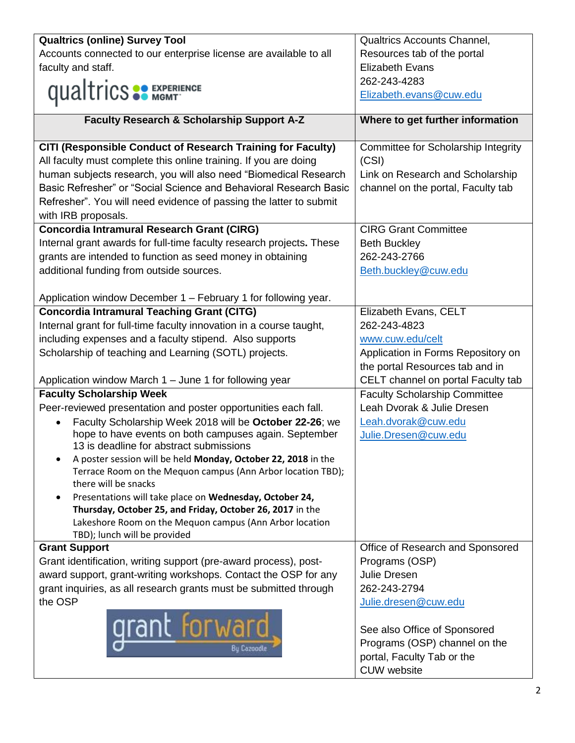| <b>Qualtrics (online) Survey Tool</b>                                                            | <b>Qualtrics Accounts Channel,</b>   |
|--------------------------------------------------------------------------------------------------|--------------------------------------|
| Accounts connected to our enterprise license are available to all                                | Resources tab of the portal          |
| faculty and staff.                                                                               | <b>Elizabeth Evans</b>               |
|                                                                                                  | 262-243-4283                         |
| <b>qualtrics SP EXPERIENCE</b>                                                                   | Elizabeth.evans@cuw.edu              |
| Faculty Research & Scholarship Support A-Z                                                       | Where to get further information     |
|                                                                                                  |                                      |
| CITI (Responsible Conduct of Research Training for Faculty)                                      | Committee for Scholarship Integrity  |
| All faculty must complete this online training. If you are doing                                 | (CSI)                                |
| human subjects research, you will also need "Biomedical Research                                 | Link on Research and Scholarship     |
| Basic Refresher" or "Social Science and Behavioral Research Basic                                | channel on the portal, Faculty tab   |
| Refresher". You will need evidence of passing the latter to submit                               |                                      |
| with IRB proposals.                                                                              |                                      |
| <b>Concordia Intramural Research Grant (CIRG)</b>                                                | <b>CIRG Grant Committee</b>          |
| Internal grant awards for full-time faculty research projects. These                             | <b>Beth Buckley</b>                  |
| grants are intended to function as seed money in obtaining                                       | 262-243-2766                         |
| additional funding from outside sources.                                                         | Beth.buckley@cuw.edu                 |
|                                                                                                  |                                      |
| Application window December 1 - February 1 for following year.                                   |                                      |
| <b>Concordia Intramural Teaching Grant (CITG)</b>                                                | Elizabeth Evans, CELT                |
| Internal grant for full-time faculty innovation in a course taught,                              | 262-243-4823                         |
| including expenses and a faculty stipend. Also supports                                          | www.cuw.edu/celt                     |
| Scholarship of teaching and Learning (SOTL) projects.                                            | Application in Forms Repository on   |
|                                                                                                  | the portal Resources tab and in      |
| Application window March 1 - June 1 for following year                                           | CELT channel on portal Faculty tab   |
| <b>Faculty Scholarship Week</b>                                                                  | <b>Faculty Scholarship Committee</b> |
| Peer-reviewed presentation and poster opportunities each fall.                                   | Leah Dvorak & Julie Dresen           |
| Faculty Scholarship Week 2018 will be October 22-26; we<br>$\bullet$                             | Leah.dvorak@cuw.edu                  |
| hope to have events on both campuses again. September<br>13 is deadline for abstract submissions | Julie.Dresen@cuw.edu                 |
| A poster session will be held Monday, October 22, 2018 in the                                    |                                      |
| Terrace Room on the Mequon campus (Ann Arbor location TBD);                                      |                                      |
| there will be snacks                                                                             |                                      |
| Presentations will take place on Wednesday, October 24,                                          |                                      |
| Thursday, October 25, and Friday, October 26, 2017 in the                                        |                                      |
| Lakeshore Room on the Mequon campus (Ann Arbor location                                          |                                      |
| TBD); lunch will be provided<br><b>Grant Support</b>                                             | Office of Research and Sponsored     |
| Grant identification, writing support (pre-award process), post-                                 | Programs (OSP)                       |
| award support, grant-writing workshops. Contact the OSP for any                                  | <b>Julie Dresen</b>                  |
| grant inquiries, as all research grants must be submitted through                                | 262-243-2794                         |
| the OSP                                                                                          | Julie.dresen@cuw.edu                 |
|                                                                                                  |                                      |
| <b>qrant lor</b> war                                                                             | See also Office of Sponsored         |
|                                                                                                  | Programs (OSP) channel on the        |
| Bu Cazoodle                                                                                      | portal, Faculty Tab or the           |
|                                                                                                  | <b>CUW</b> website                   |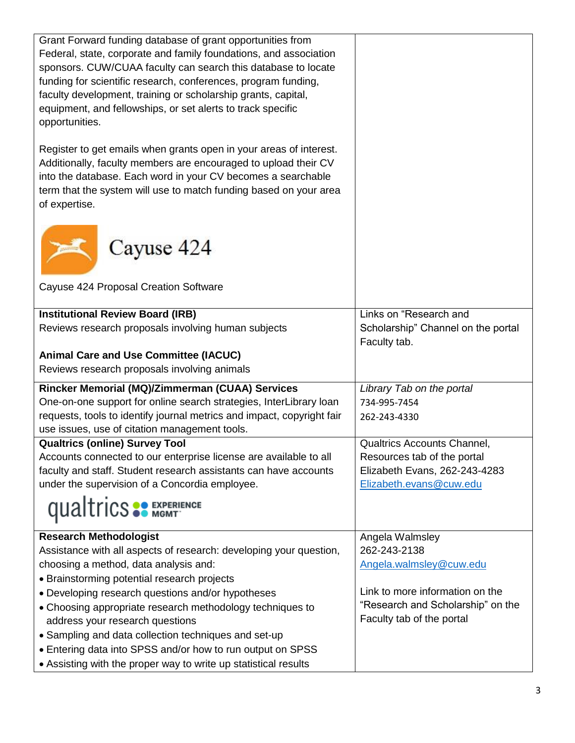| Grant Forward funding database of grant opportunities from                                                                                                                                                                                                                                  |                                    |
|---------------------------------------------------------------------------------------------------------------------------------------------------------------------------------------------------------------------------------------------------------------------------------------------|------------------------------------|
| Federal, state, corporate and family foundations, and association                                                                                                                                                                                                                           |                                    |
| sponsors. CUW/CUAA faculty can search this database to locate                                                                                                                                                                                                                               |                                    |
| funding for scientific research, conferences, program funding,                                                                                                                                                                                                                              |                                    |
| faculty development, training or scholarship grants, capital,                                                                                                                                                                                                                               |                                    |
| equipment, and fellowships, or set alerts to track specific                                                                                                                                                                                                                                 |                                    |
| opportunities.                                                                                                                                                                                                                                                                              |                                    |
| Register to get emails when grants open in your areas of interest.<br>Additionally, faculty members are encouraged to upload their CV<br>into the database. Each word in your CV becomes a searchable<br>term that the system will use to match funding based on your area<br>of expertise. |                                    |
| Cayuse 424<br>Cayuse 424 Proposal Creation Software                                                                                                                                                                                                                                         |                                    |
| <b>Institutional Review Board (IRB)</b>                                                                                                                                                                                                                                                     | Links on "Research and             |
| Reviews research proposals involving human subjects                                                                                                                                                                                                                                         | Scholarship" Channel on the portal |
|                                                                                                                                                                                                                                                                                             | Faculty tab.                       |
| <b>Animal Care and Use Committee (IACUC)</b>                                                                                                                                                                                                                                                |                                    |
| Reviews research proposals involving animals                                                                                                                                                                                                                                                |                                    |
| Rincker Memorial (MQ)/Zimmerman (CUAA) Services                                                                                                                                                                                                                                             | Library Tab on the portal          |
| One-on-one support for online search strategies, InterLibrary loan                                                                                                                                                                                                                          | 734-995-7454                       |
| requests, tools to identify journal metrics and impact, copyright fair                                                                                                                                                                                                                      | 262-243-4330                       |
| use issues, use of citation management tools.                                                                                                                                                                                                                                               |                                    |
| <b>Qualtrics (online) Survey Tool</b>                                                                                                                                                                                                                                                       | Qualtrics Accounts Channel,        |
| Accounts connected to our enterprise license are available to all                                                                                                                                                                                                                           | Resources tab of the portal        |
| faculty and staff. Student research assistants can have accounts                                                                                                                                                                                                                            | Elizabeth Evans, 262-243-4283      |
| under the supervision of a Concordia employee.                                                                                                                                                                                                                                              | Elizabeth.evans@cuw.edu            |
| <b>qualtrics SP EXPERIENCE</b>                                                                                                                                                                                                                                                              |                                    |
| <b>Research Methodologist</b>                                                                                                                                                                                                                                                               | Angela Walmsley                    |
| Assistance with all aspects of research: developing your question,                                                                                                                                                                                                                          | 262-243-2138                       |
| choosing a method, data analysis and:                                                                                                                                                                                                                                                       | Angela.walmsley@cuw.edu            |
| • Brainstorming potential research projects                                                                                                                                                                                                                                                 |                                    |
| • Developing research questions and/or hypotheses                                                                                                                                                                                                                                           | Link to more information on the    |
| • Choosing appropriate research methodology techniques to                                                                                                                                                                                                                                   | "Research and Scholarship" on the  |
| address your research questions                                                                                                                                                                                                                                                             | Faculty tab of the portal          |
| • Sampling and data collection techniques and set-up                                                                                                                                                                                                                                        |                                    |
| • Entering data into SPSS and/or how to run output on SPSS                                                                                                                                                                                                                                  |                                    |
| • Assisting with the proper way to write up statistical results                                                                                                                                                                                                                             |                                    |
|                                                                                                                                                                                                                                                                                             |                                    |